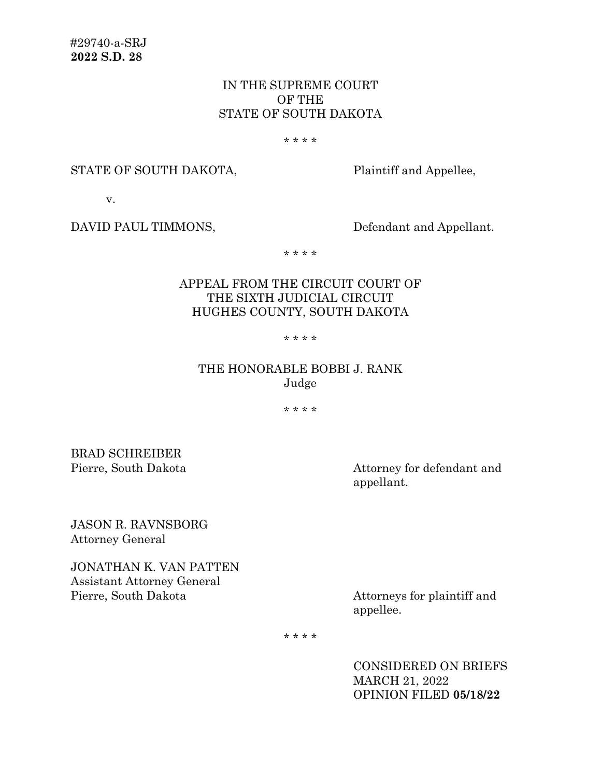# IN THE SUPREME COURT OF THE STATE OF SOUTH DAKOTA

#### \* \* \* \*

#### STATE OF SOUTH DAKOTA, Plaintiff and Appellee,

v.

DAVID PAUL TIMMONS, Defendant and Appellant.

\* \* \* \*

# APPEAL FROM THE CIRCUIT COURT OF THE SIXTH JUDICIAL CIRCUIT HUGHES COUNTY, SOUTH DAKOTA

\* \* \* \*

# THE HONORABLE BOBBI J. RANK Judge

\* \* \* \*

BRAD SCHREIBER

Pierre, South Dakota Attorney for defendant and appellant.

JASON R. RAVNSBORG Attorney General

JONATHAN K. VAN PATTEN Assistant Attorney General Pierre, South Dakota Attorneys for plaintiff and

appellee.

\* \* \* \*

CONSIDERED ON BRIEFS MARCH 21, 2022 OPINION FILED **05/18/22**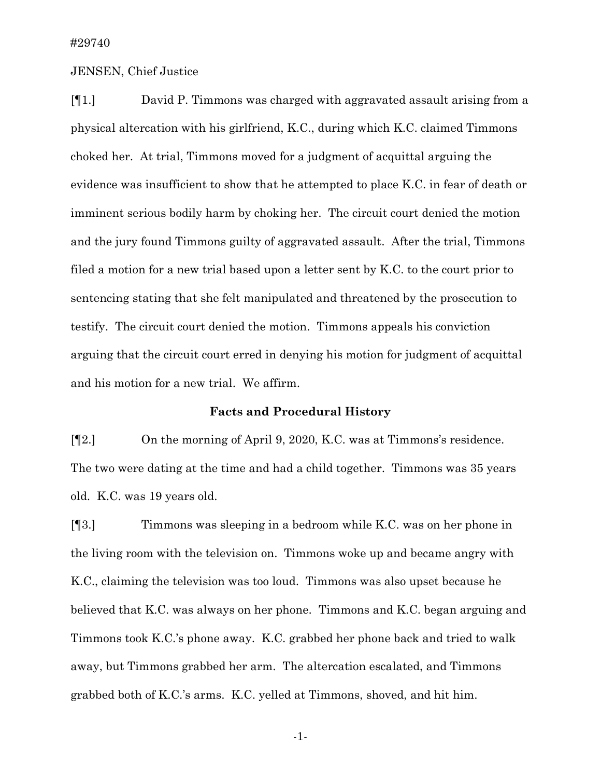### JENSEN, Chief Justice

[¶1.] David P. Timmons was charged with aggravated assault arising from a physical altercation with his girlfriend, K.C., during which K.C. claimed Timmons choked her. At trial, Timmons moved for a judgment of acquittal arguing the evidence was insufficient to show that he attempted to place K.C. in fear of death or imminent serious bodily harm by choking her. The circuit court denied the motion and the jury found Timmons guilty of aggravated assault. After the trial, Timmons filed a motion for a new trial based upon a letter sent by K.C. to the court prior to sentencing stating that she felt manipulated and threatened by the prosecution to testify. The circuit court denied the motion. Timmons appeals his conviction arguing that the circuit court erred in denying his motion for judgment of acquittal and his motion for a new trial. We affirm.

### **Facts and Procedural History**

[¶2.] On the morning of April 9, 2020, K.C. was at Timmons's residence. The two were dating at the time and had a child together. Timmons was 35 years old. K.C. was 19 years old.

[¶3.] Timmons was sleeping in a bedroom while K.C. was on her phone in the living room with the television on. Timmons woke up and became angry with K.C., claiming the television was too loud. Timmons was also upset because he believed that K.C. was always on her phone. Timmons and K.C. began arguing and Timmons took K.C.'s phone away. K.C. grabbed her phone back and tried to walk away, but Timmons grabbed her arm. The altercation escalated, and Timmons grabbed both of K.C.'s arms. K.C. yelled at Timmons, shoved, and hit him.

-1-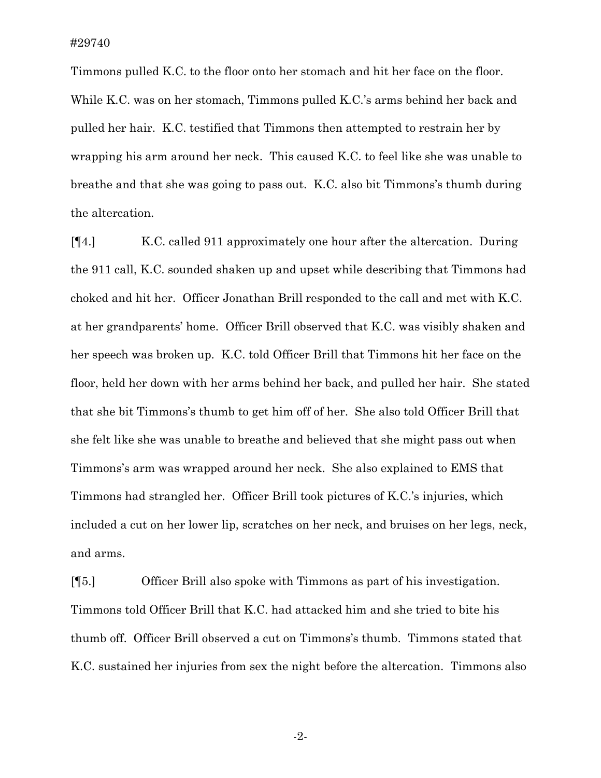Timmons pulled K.C. to the floor onto her stomach and hit her face on the floor. While K.C. was on her stomach, Timmons pulled K.C.'s arms behind her back and pulled her hair. K.C. testified that Timmons then attempted to restrain her by wrapping his arm around her neck. This caused K.C. to feel like she was unable to breathe and that she was going to pass out. K.C. also bit Timmons's thumb during the altercation.

[¶4.] K.C. called 911 approximately one hour after the altercation. During the 911 call, K.C. sounded shaken up and upset while describing that Timmons had choked and hit her. Officer Jonathan Brill responded to the call and met with K.C. at her grandparents' home. Officer Brill observed that K.C. was visibly shaken and her speech was broken up. K.C. told Officer Brill that Timmons hit her face on the floor, held her down with her arms behind her back, and pulled her hair. She stated that she bit Timmons's thumb to get him off of her. She also told Officer Brill that she felt like she was unable to breathe and believed that she might pass out when Timmons's arm was wrapped around her neck. She also explained to EMS that Timmons had strangled her. Officer Brill took pictures of K.C.'s injuries, which included a cut on her lower lip, scratches on her neck, and bruises on her legs, neck, and arms.

[¶5.] Officer Brill also spoke with Timmons as part of his investigation. Timmons told Officer Brill that K.C. had attacked him and she tried to bite his thumb off. Officer Brill observed a cut on Timmons's thumb. Timmons stated that K.C. sustained her injuries from sex the night before the altercation. Timmons also

-2-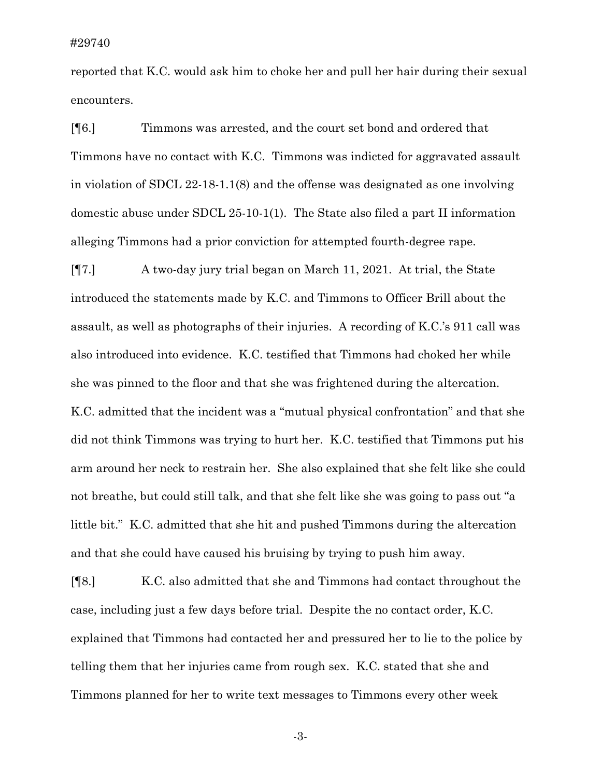reported that K.C. would ask him to choke her and pull her hair during their sexual encounters.

[¶6.] Timmons was arrested, and the court set bond and ordered that Timmons have no contact with K.C. Timmons was indicted for aggravated assault in violation of SDCL 22-18-1.1(8) and the offense was designated as one involving domestic abuse under SDCL 25-10-1(1). The State also filed a part II information alleging Timmons had a prior conviction for attempted fourth-degree rape.

[¶7.] A two-day jury trial began on March 11, 2021. At trial, the State introduced the statements made by K.C. and Timmons to Officer Brill about the assault, as well as photographs of their injuries. A recording of K.C.'s 911 call was also introduced into evidence. K.C. testified that Timmons had choked her while she was pinned to the floor and that she was frightened during the altercation. K.C. admitted that the incident was a "mutual physical confrontation" and that she did not think Timmons was trying to hurt her. K.C. testified that Timmons put his arm around her neck to restrain her. She also explained that she felt like she could not breathe, but could still talk, and that she felt like she was going to pass out "a little bit." K.C. admitted that she hit and pushed Timmons during the altercation and that she could have caused his bruising by trying to push him away.

[¶8.] K.C. also admitted that she and Timmons had contact throughout the case, including just a few days before trial. Despite the no contact order, K.C. explained that Timmons had contacted her and pressured her to lie to the police by telling them that her injuries came from rough sex. K.C. stated that she and Timmons planned for her to write text messages to Timmons every other week

-3-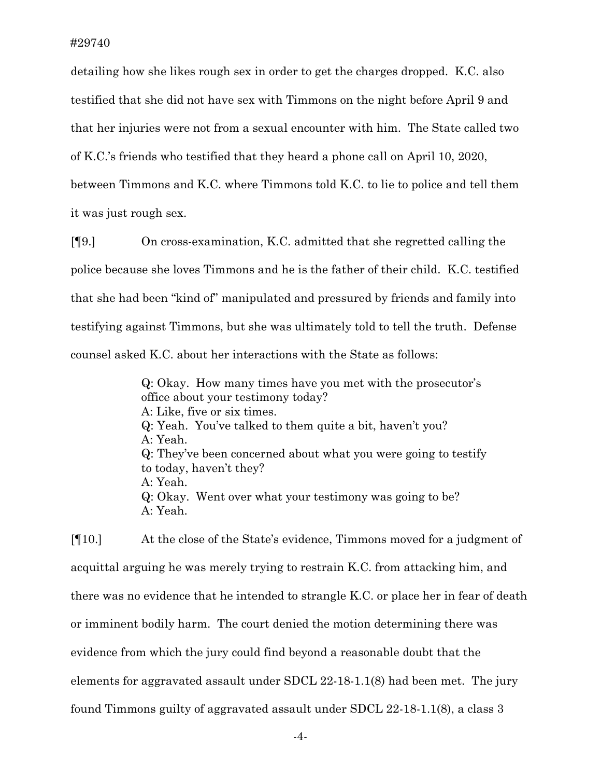detailing how she likes rough sex in order to get the charges dropped. K.C. also testified that she did not have sex with Timmons on the night before April 9 and that her injuries were not from a sexual encounter with him. The State called two of K.C.'s friends who testified that they heard a phone call on April 10, 2020, between Timmons and K.C. where Timmons told K.C. to lie to police and tell them it was just rough sex.

[¶9.] On cross-examination, K.C. admitted that she regretted calling the police because she loves Timmons and he is the father of their child. K.C. testified that she had been "kind of" manipulated and pressured by friends and family into testifying against Timmons, but she was ultimately told to tell the truth. Defense counsel asked K.C. about her interactions with the State as follows:

> Q: Okay. How many times have you met with the prosecutor's office about your testimony today? A: Like, five or six times. Q: Yeah. You've talked to them quite a bit, haven't you? A: Yeah. Q: They've been concerned about what you were going to testify to today, haven't they? A: Yeah. Q: Okay. Went over what your testimony was going to be? A: Yeah.

[¶10.] At the close of the State's evidence, Timmons moved for a judgment of acquittal arguing he was merely trying to restrain K.C. from attacking him, and there was no evidence that he intended to strangle K.C. or place her in fear of death or imminent bodily harm. The court denied the motion determining there was evidence from which the jury could find beyond a reasonable doubt that the elements for aggravated assault under SDCL 22-18-1.1(8) had been met. The jury found Timmons guilty of aggravated assault under SDCL 22-18-1.1(8), a class 3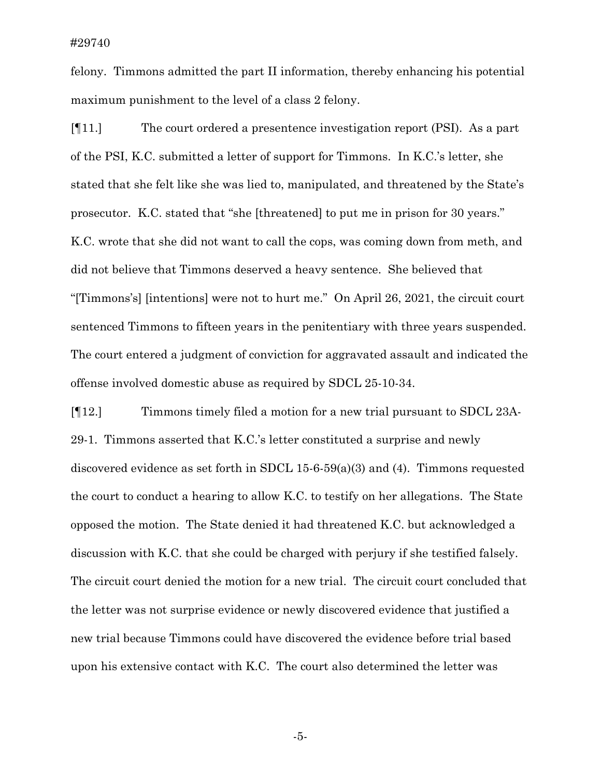felony. Timmons admitted the part II information, thereby enhancing his potential maximum punishment to the level of a class 2 felony.

[¶11.] The court ordered a presentence investigation report (PSI). As a part of the PSI, K.C. submitted a letter of support for Timmons. In K.C.'s letter, she stated that she felt like she was lied to, manipulated, and threatened by the State's prosecutor. K.C. stated that "she [threatened] to put me in prison for 30 years." K.C. wrote that she did not want to call the cops, was coming down from meth, and did not believe that Timmons deserved a heavy sentence. She believed that "[Timmons's] [intentions] were not to hurt me." On April 26, 2021, the circuit court sentenced Timmons to fifteen years in the penitentiary with three years suspended. The court entered a judgment of conviction for aggravated assault and indicated the offense involved domestic abuse as required by SDCL 25-10-34.

[¶12.] Timmons timely filed a motion for a new trial pursuant to SDCL 23A-29-1. Timmons asserted that K.C.'s letter constituted a surprise and newly discovered evidence as set forth in SDCL 15-6-59(a)(3) and (4). Timmons requested the court to conduct a hearing to allow K.C. to testify on her allegations. The State opposed the motion. The State denied it had threatened K.C. but acknowledged a discussion with K.C. that she could be charged with perjury if she testified falsely. The circuit court denied the motion for a new trial. The circuit court concluded that the letter was not surprise evidence or newly discovered evidence that justified a new trial because Timmons could have discovered the evidence before trial based upon his extensive contact with K.C. The court also determined the letter was

-5-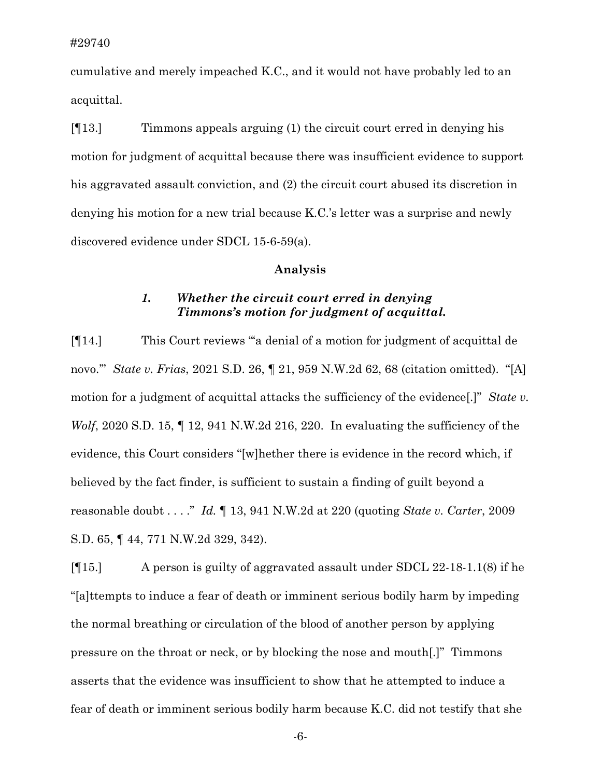cumulative and merely impeached K.C., and it would not have probably led to an acquittal.

[¶13.] Timmons appeals arguing (1) the circuit court erred in denying his motion for judgment of acquittal because there was insufficient evidence to support his aggravated assault conviction, and (2) the circuit court abused its discretion in denying his motion for a new trial because K.C.'s letter was a surprise and newly discovered evidence under SDCL 15-6-59(a).

### **Analysis**

## *1. Whether the circuit court erred in denying Timmons's motion for judgment of acquittal.*

[¶14.] This Court reviews "'a denial of a motion for judgment of acquittal de novo.'" *State v. Frias*, 2021 S.D. 26, ¶ 21, 959 N.W.2d 62, 68 (citation omitted). "[A] motion for a judgment of acquittal attacks the sufficiency of the evidence[.]" *State v. Wolf*, 2020 S.D. 15, 12, 941 N.W.2d 216, 220. In evaluating the sufficiency of the evidence, this Court considers "[w]hether there is evidence in the record which, if believed by the fact finder, is sufficient to sustain a finding of guilt beyond a reasonable doubt . . . ." *Id.* ¶ 13, 941 N.W.2d at 220 (quoting *State v. Carter*, 2009 S.D. 65, ¶ 44, 771 N.W.2d 329, 342).

[¶15.] A person is guilty of aggravated assault under SDCL 22-18-1.1(8) if he "[a]ttempts to induce a fear of death or imminent serious bodily harm by impeding the normal breathing or circulation of the blood of another person by applying pressure on the throat or neck, or by blocking the nose and mouth[.]" Timmons asserts that the evidence was insufficient to show that he attempted to induce a fear of death or imminent serious bodily harm because K.C. did not testify that she

-6-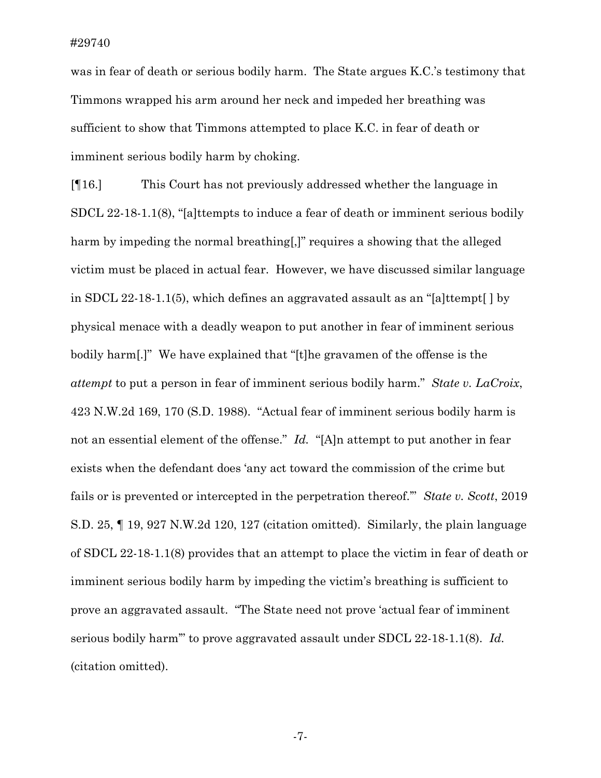was in fear of death or serious bodily harm. The State argues K.C.'s testimony that Timmons wrapped his arm around her neck and impeded her breathing was sufficient to show that Timmons attempted to place K.C. in fear of death or imminent serious bodily harm by choking.

[¶16.] This Court has not previously addressed whether the language in SDCL 22-18-1.1(8), "[a]ttempts to induce a fear of death or imminent serious bodily harm by impeding the normal breathing[,]" requires a showing that the alleged victim must be placed in actual fear. However, we have discussed similar language in SDCL 22-18-1.1(5), which defines an aggravated assault as an "[a]ttempt[ ] by physical menace with a deadly weapon to put another in fear of imminent serious bodily harm[.]" We have explained that "[t]he gravamen of the offense is the *attempt* to put a person in fear of imminent serious bodily harm." *State v. LaCroix*, 423 N.W.2d 169, 170 (S.D. 1988). "Actual fear of imminent serious bodily harm is not an essential element of the offense." *Id.* "[A]n attempt to put another in fear exists when the defendant does 'any act toward the commission of the crime but fails or is prevented or intercepted in the perpetration thereof.'" *State v. Scott*, 2019 S.D. 25, ¶ 19, 927 N.W.2d 120, 127 (citation omitted). Similarly, the plain language of SDCL 22-18-1.1(8) provides that an attempt to place the victim in fear of death or imminent serious bodily harm by impeding the victim's breathing is sufficient to prove an aggravated assault. "The State need not prove 'actual fear of imminent serious bodily harm'" to prove aggravated assault under SDCL 22-18-1.1(8). *Id.* (citation omitted).

-7-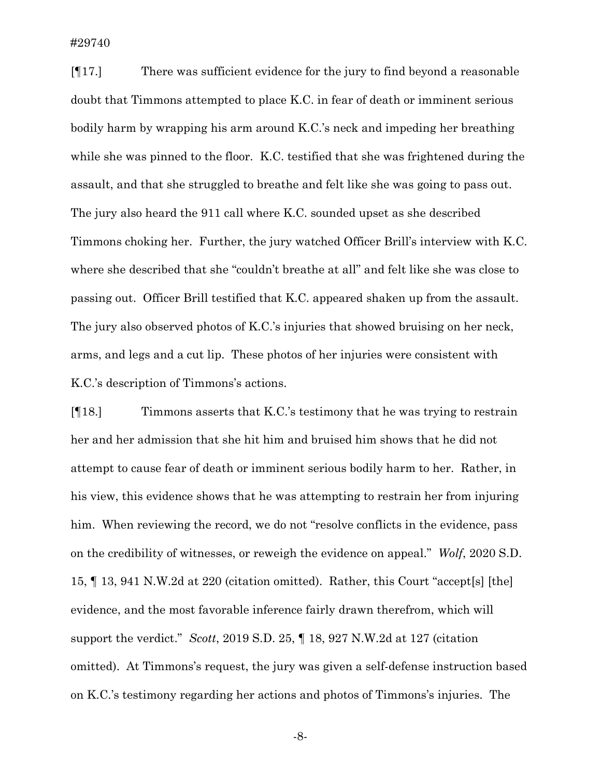#29740

[¶17.] There was sufficient evidence for the jury to find beyond a reasonable doubt that Timmons attempted to place K.C. in fear of death or imminent serious bodily harm by wrapping his arm around K.C.'s neck and impeding her breathing while she was pinned to the floor. K.C. testified that she was frightened during the assault, and that she struggled to breathe and felt like she was going to pass out. The jury also heard the 911 call where K.C. sounded upset as she described Timmons choking her. Further, the jury watched Officer Brill's interview with K.C. where she described that she "couldn't breathe at all" and felt like she was close to passing out. Officer Brill testified that K.C. appeared shaken up from the assault. The jury also observed photos of K.C.'s injuries that showed bruising on her neck, arms, and legs and a cut lip. These photos of her injuries were consistent with K.C.'s description of Timmons's actions.

[¶18.] Timmons asserts that K.C.'s testimony that he was trying to restrain her and her admission that she hit him and bruised him shows that he did not attempt to cause fear of death or imminent serious bodily harm to her. Rather, in his view, this evidence shows that he was attempting to restrain her from injuring him. When reviewing the record, we do not "resolve conflicts in the evidence, pass on the credibility of witnesses, or reweigh the evidence on appeal." *Wolf*, 2020 S.D. 15, ¶ 13, 941 N.W.2d at 220 (citation omitted). Rather, this Court "accept[s] [the] evidence, and the most favorable inference fairly drawn therefrom, which will support the verdict." *Scott*, 2019 S.D. 25, ¶ 18, 927 N.W.2d at 127 (citation omitted). At Timmons's request, the jury was given a self-defense instruction based on K.C.'s testimony regarding her actions and photos of Timmons's injuries. The

-8-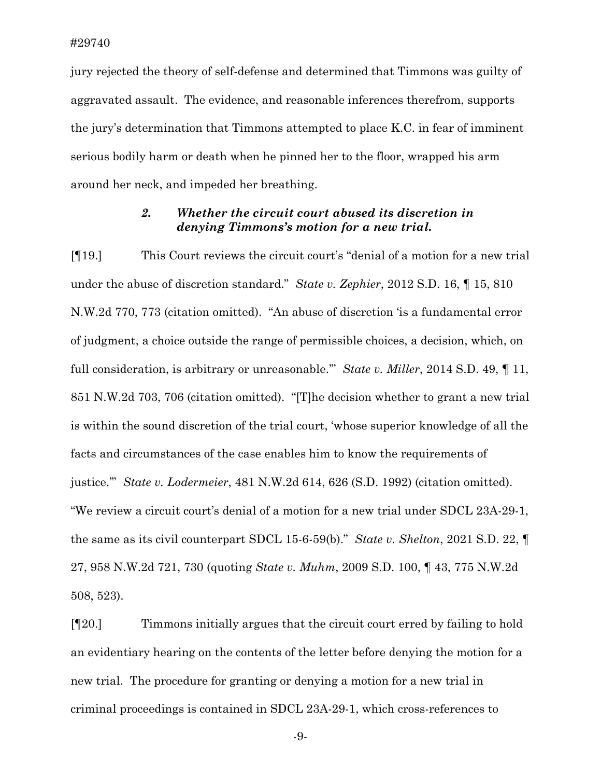jury rejected the theory of self-defense and determined that Timmons was guilty of aggravated assault. The evidence, and reasonable inferences therefrom, supports the jury's determination that Timmons attempted to place K.C. in fear of imminent serious bodily harm or death when he pinned her to the floor, wrapped his arm around her neck, and impeded her breathing.

### *2. Whether the circuit court abused its discretion in denying Timmons's motion for a new trial.*

[¶19.] This Court reviews the circuit court's "denial of a motion for a new trial under the abuse of discretion standard." *State v. Zephier*, 2012 S.D. 16, ¶ 15, 810 N.W.2d 770, 773 (citation omitted). "An abuse of discretion 'is a fundamental error of judgment, a choice outside the range of permissible choices, a decision, which, on full consideration, is arbitrary or unreasonable.'" *State v. Miller*, 2014 S.D. 49, ¶ 11, 851 N.W.2d 703, 706 (citation omitted). "[T]he decision whether to grant a new trial is within the sound discretion of the trial court, 'whose superior knowledge of all the facts and circumstances of the case enables him to know the requirements of justice.'" *State v. Lodermeier*, 481 N.W.2d 614, 626 (S.D. 1992) (citation omitted). "We review a circuit court's denial of a motion for a new trial under SDCL 23A-29-1, the same as its civil counterpart SDCL 15-6-59(b)." *State v. Shelton*, 2021 S.D. 22, ¶ 27, 958 N.W.2d 721, 730 (quoting *State v. Muhm*, 2009 S.D. 100, ¶ 43, 775 N.W.2d 508, 523).

[¶20.] Timmons initially argues that the circuit court erred by failing to hold an evidentiary hearing on the contents of the letter before denying the motion for a new trial. The procedure for granting or denying a motion for a new trial in criminal proceedings is contained in SDCL 23A-29-1, which cross-references to

-9-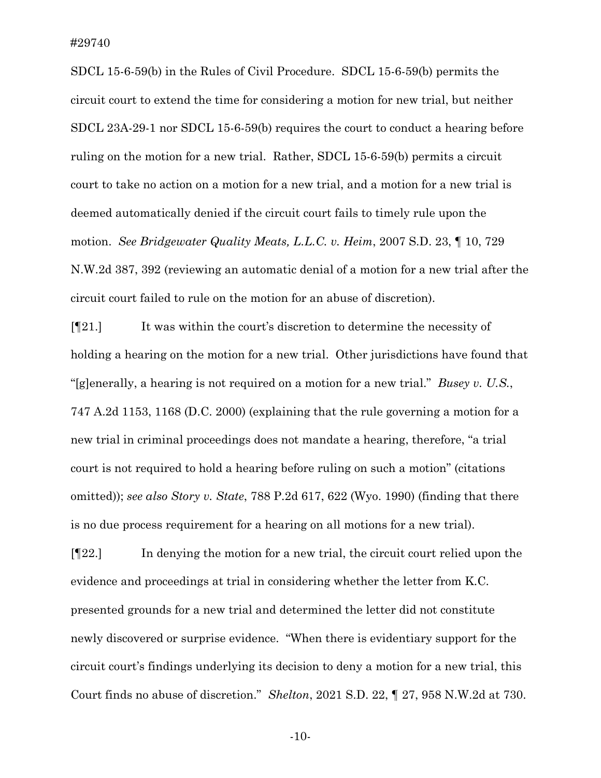SDCL 15-6-59(b) in the Rules of Civil Procedure. SDCL 15-6-59(b) permits the circuit court to extend the time for considering a motion for new trial, but neither SDCL 23A-29-1 nor SDCL 15-6-59(b) requires the court to conduct a hearing before ruling on the motion for a new trial. Rather, SDCL 15-6-59(b) permits a circuit court to take no action on a motion for a new trial, and a motion for a new trial is deemed automatically denied if the circuit court fails to timely rule upon the motion. *See Bridgewater Quality Meats, L.L.C. v. Heim*, 2007 S.D. 23, ¶ 10, 729 N.W.2d 387, 392 (reviewing an automatic denial of a motion for a new trial after the circuit court failed to rule on the motion for an abuse of discretion).

[¶21.] It was within the court's discretion to determine the necessity of holding a hearing on the motion for a new trial. Other jurisdictions have found that "[g]enerally, a hearing is not required on a motion for a new trial." *Busey v. U.S.*, 747 A.2d 1153, 1168 (D.C. 2000) (explaining that the rule governing a motion for a new trial in criminal proceedings does not mandate a hearing, therefore, "a trial court is not required to hold a hearing before ruling on such a motion" (citations omitted)); *see also Story v. State*, 788 P.2d 617, 622 (Wyo. 1990) (finding that there is no due process requirement for a hearing on all motions for a new trial).

[¶22.] In denying the motion for a new trial, the circuit court relied upon the evidence and proceedings at trial in considering whether the letter from K.C. presented grounds for a new trial and determined the letter did not constitute newly discovered or surprise evidence. "When there is evidentiary support for the circuit court's findings underlying its decision to deny a motion for a new trial, this Court finds no abuse of discretion." *Shelton*, 2021 S.D. 22, ¶ 27, 958 N.W.2d at 730.

-10-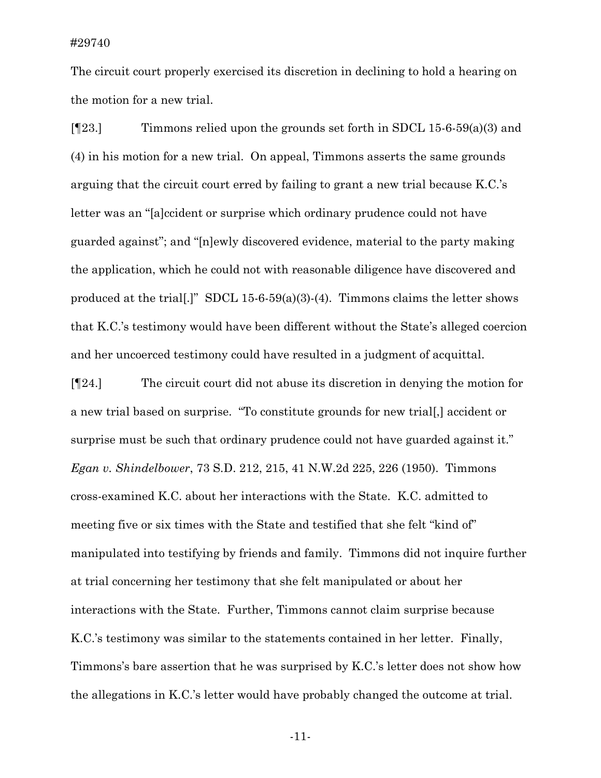The circuit court properly exercised its discretion in declining to hold a hearing on the motion for a new trial.

[ $[123.]$  Timmons relied upon the grounds set forth in SDCL 15-6-59(a)(3) and (4) in his motion for a new trial. On appeal, Timmons asserts the same grounds arguing that the circuit court erred by failing to grant a new trial because K.C.'s letter was an "[a]ccident or surprise which ordinary prudence could not have guarded against"; and "[n]ewly discovered evidence, material to the party making the application, which he could not with reasonable diligence have discovered and produced at the trial.]" SDCL 15-6-59(a)(3)-(4). Timmons claims the letter shows that K.C.'s testimony would have been different without the State's alleged coercion and her uncoerced testimony could have resulted in a judgment of acquittal.

[¶24.] The circuit court did not abuse its discretion in denying the motion for a new trial based on surprise. "To constitute grounds for new trial[,] accident or surprise must be such that ordinary prudence could not have guarded against it." *Egan v. Shindelbower*, 73 S.D. 212, 215, 41 N.W.2d 225, 226 (1950). Timmons cross-examined K.C. about her interactions with the State. K.C. admitted to meeting five or six times with the State and testified that she felt "kind of" manipulated into testifying by friends and family. Timmons did not inquire further at trial concerning her testimony that she felt manipulated or about her interactions with the State. Further, Timmons cannot claim surprise because K.C.'s testimony was similar to the statements contained in her letter. Finally, Timmons's bare assertion that he was surprised by K.C.'s letter does not show how the allegations in K.C.'s letter would have probably changed the outcome at trial.

-11-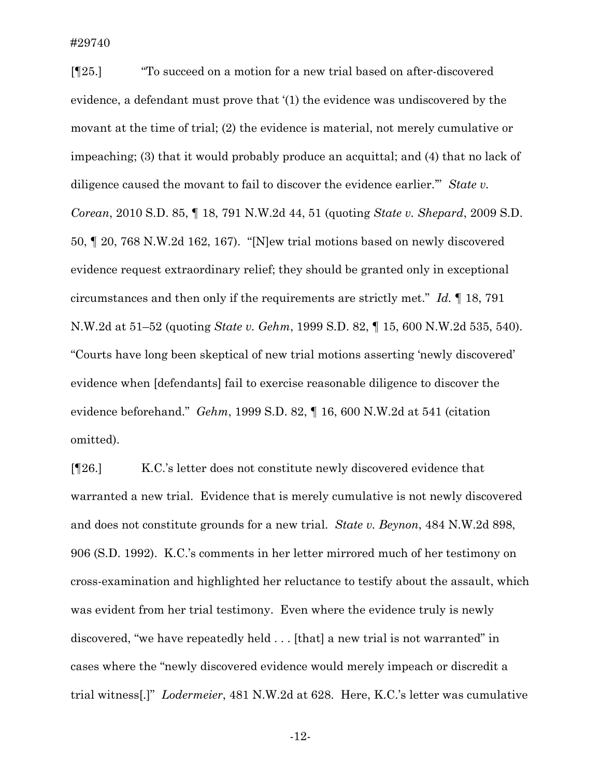#29740

[¶25.] "To succeed on a motion for a new trial based on after-discovered evidence, a defendant must prove that '(1) the evidence was undiscovered by the movant at the time of trial; (2) the evidence is material, not merely cumulative or impeaching; (3) that it would probably produce an acquittal; and (4) that no lack of diligence caused the movant to fail to discover the evidence earlier.'" *State v. Corean*, 2010 S.D. 85, ¶ 18, 791 N.W.2d 44, 51 (quoting *State v. Shepard*, 2009 S.D. 50, ¶ 20, 768 N.W.2d 162, 167). "[N]ew trial motions based on newly discovered evidence request extraordinary relief; they should be granted only in exceptional circumstances and then only if the requirements are strictly met." *Id.* ¶ 18, 791 N.W.2d at 51–52 (quoting *State v. Gehm*, 1999 S.D. 82, ¶ 15, 600 N.W.2d 535, 540). "Courts have long been skeptical of new trial motions asserting 'newly discovered' evidence when [defendants] fail to exercise reasonable diligence to discover the evidence beforehand." *Gehm*, 1999 S.D. 82, ¶ 16, 600 N.W.2d at 541 (citation omitted).

[¶26.] K.C.'s letter does not constitute newly discovered evidence that warranted a new trial. Evidence that is merely cumulative is not newly discovered and does not constitute grounds for a new trial. *State v. Beynon*, 484 N.W.2d 898, 906 (S.D. 1992). K.C.'s comments in her letter mirrored much of her testimony on cross-examination and highlighted her reluctance to testify about the assault, which was evident from her trial testimony. Even where the evidence truly is newly discovered, "we have repeatedly held . . . [that] a new trial is not warranted" in cases where the "newly discovered evidence would merely impeach or discredit a trial witness[.]" *Lodermeier*, 481 N.W.2d at 628. Here, K.C.'s letter was cumulative

-12-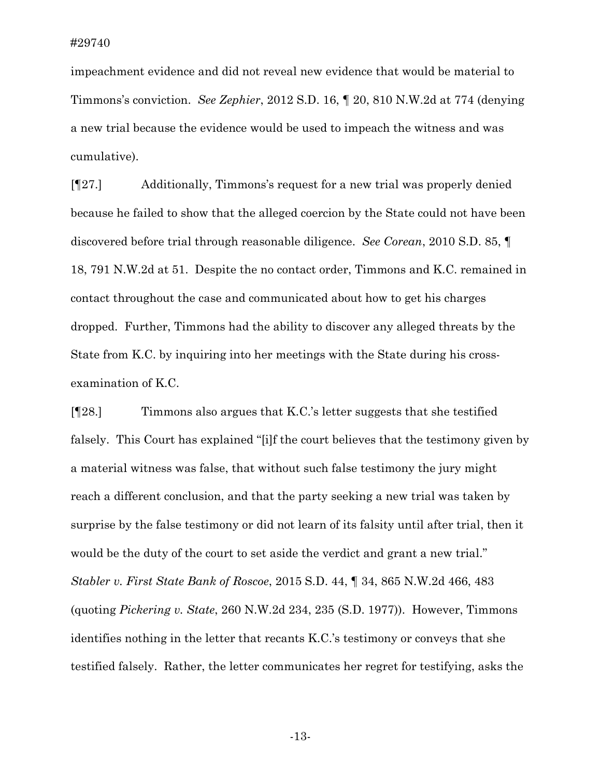impeachment evidence and did not reveal new evidence that would be material to Timmons's conviction. *See Zephier*, 2012 S.D. 16, ¶ 20, 810 N.W.2d at 774 (denying a new trial because the evidence would be used to impeach the witness and was cumulative).

[¶27.] Additionally, Timmons's request for a new trial was properly denied because he failed to show that the alleged coercion by the State could not have been discovered before trial through reasonable diligence. *See Corean*, 2010 S.D. 85, ¶ 18, 791 N.W.2d at 51. Despite the no contact order, Timmons and K.C. remained in contact throughout the case and communicated about how to get his charges dropped. Further, Timmons had the ability to discover any alleged threats by the State from K.C. by inquiring into her meetings with the State during his crossexamination of K.C.

[¶28.] Timmons also argues that K.C.'s letter suggests that she testified falsely. This Court has explained "[i]f the court believes that the testimony given by a material witness was false, that without such false testimony the jury might reach a different conclusion, and that the party seeking a new trial was taken by surprise by the false testimony or did not learn of its falsity until after trial, then it would be the duty of the court to set aside the verdict and grant a new trial." *Stabler v. First State Bank of Roscoe*, 2015 S.D. 44, ¶ 34, 865 N.W.2d 466, 483 (quoting *Pickering v. State*, 260 N.W.2d 234, 235 (S.D. 1977)). However, Timmons identifies nothing in the letter that recants K.C.'s testimony or conveys that she testified falsely. Rather, the letter communicates her regret for testifying, asks the

-13-